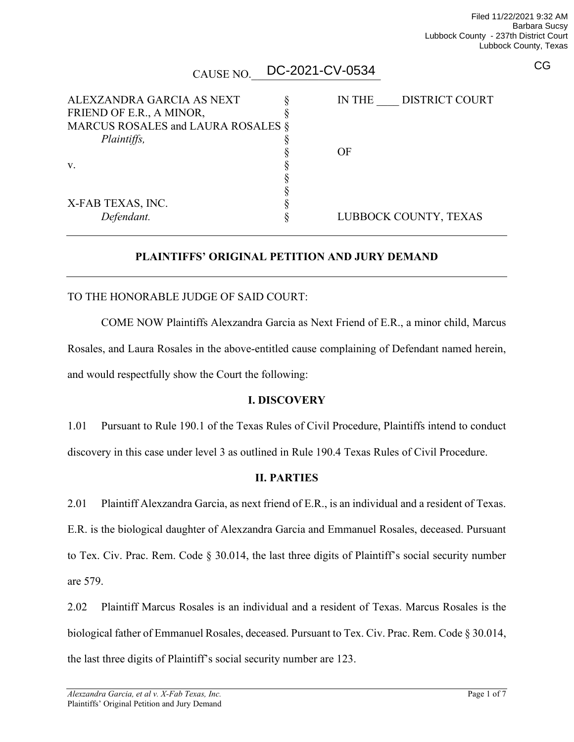CG

| CAUSE NO.                                             | DC-2021-CV-0534 |                       |
|-------------------------------------------------------|-----------------|-----------------------|
| ALEXZANDRA GARCIA AS NEXT<br>FRIEND OF E.R., A MINOR, | <b>IN THE</b>   | <b>DISTRICT COURT</b> |
| MARCUS ROSALES and LAURA ROSALES §<br>Plaintiffs,     |                 |                       |
|                                                       | OF              |                       |
| V.                                                    |                 |                       |
| X-FAB TEXAS, INC.                                     |                 |                       |
| Defendant.                                            |                 | LUBBOCK COUNTY, TEXAS |

### **PLAINTIFFS' ORIGINAL PETITION AND JURY DEMAND**

#### TO THE HONORABLE JUDGE OF SAID COURT:

COME NOW Plaintiffs Alexzandra Garcia as Next Friend of E.R., a minor child, Marcus Rosales, and Laura Rosales in the above-entitled cause complaining of Defendant named herein, and would respectfully show the Court the following:

#### **I. DISCOVERY**

1.01 Pursuant to Rule 190.1 of the Texas Rules of Civil Procedure, Plaintiffs intend to conduct discovery in this case under level 3 as outlined in Rule 190.4 Texas Rules of Civil Procedure.

#### **II. PARTIES**

2.01 Plaintiff Alexzandra Garcia, as next friend of E.R., is an individual and a resident of Texas. E.R. is the biological daughter of Alexzandra Garcia and Emmanuel Rosales, deceased. Pursuant to Tex. Civ. Prac. Rem. Code § 30.014, the last three digits of Plaintiff's social security number are 579.

2.02 Plaintiff Marcus Rosales is an individual and a resident of Texas. Marcus Rosales is the biological father of Emmanuel Rosales, deceased. Pursuant to Tex. Civ. Prac. Rem. Code § 30.014, the last three digits of Plaintiff's social security number are 123.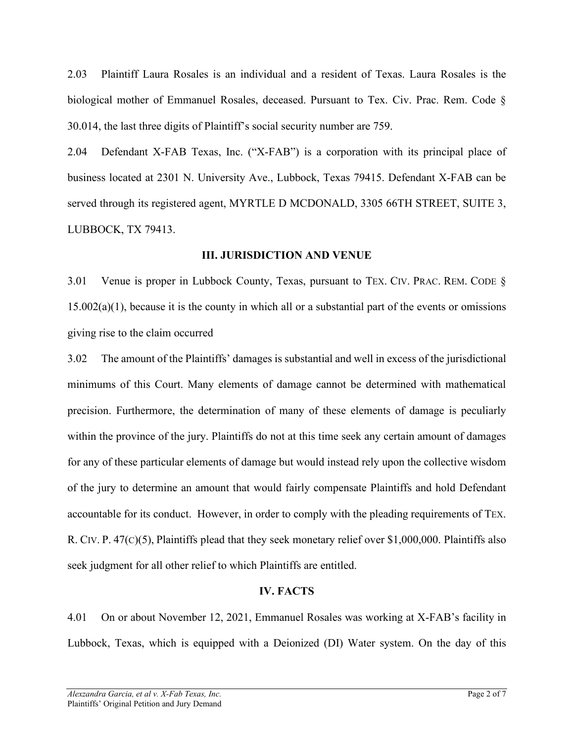2.03 Plaintiff Laura Rosales is an individual and a resident of Texas. Laura Rosales is the biological mother of Emmanuel Rosales, deceased. Pursuant to Tex. Civ. Prac. Rem. Code § 30.014, the last three digits of Plaintiff's social security number are 759.

2.04 Defendant X-FAB Texas, Inc. ("X-FAB") is a corporation with its principal place of business located at 2301 N. University Ave., Lubbock, Texas 79415. Defendant X-FAB can be served through its registered agent, MYRTLE D MCDONALD, 3305 66TH STREET, SUITE 3, LUBBOCK, TX 79413.

#### **III. JURISDICTION AND VENUE**

3.01 Venue is proper in Lubbock County, Texas, pursuant to TEX. CIV. PRAC. REM. CODE §  $15.002(a)(1)$ , because it is the county in which all or a substantial part of the events or omissions giving rise to the claim occurred

3.02 The amount of the Plaintiffs' damages is substantial and well in excess of the jurisdictional minimums of this Court. Many elements of damage cannot be determined with mathematical precision. Furthermore, the determination of many of these elements of damage is peculiarly within the province of the jury. Plaintiffs do not at this time seek any certain amount of damages for any of these particular elements of damage but would instead rely upon the collective wisdom of the jury to determine an amount that would fairly compensate Plaintiffs and hold Defendant accountable for its conduct. However, in order to comply with the pleading requirements of TEX. R. CIV. P. 47(C)(5), Plaintiffs plead that they seek monetary relief over \$1,000,000. Plaintiffs also seek judgment for all other relief to which Plaintiffs are entitled.

#### **IV. FACTS**

4.01 On or about November 12, 2021, Emmanuel Rosales was working at X-FAB's facility in Lubbock, Texas, which is equipped with a Deionized (DI) Water system. On the day of this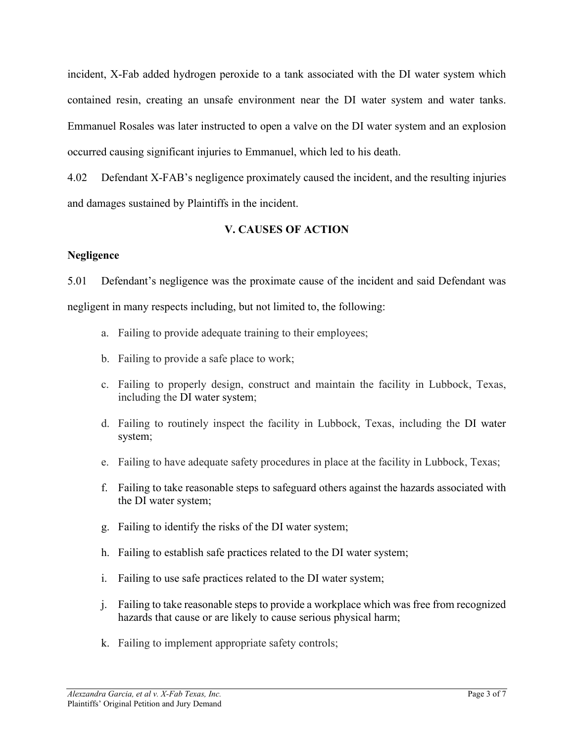incident, X-Fab added hydrogen peroxide to a tank associated with the DI water system which contained resin, creating an unsafe environment near the DI water system and water tanks. Emmanuel Rosales was later instructed to open a valve on the DI water system and an explosion occurred causing significant injuries to Emmanuel, which led to his death.

4.02 Defendant X-FAB's negligence proximately caused the incident, and the resulting injuries and damages sustained by Plaintiffs in the incident.

# **V. CAUSES OF ACTION**

### **Negligence**

5.01 Defendant's negligence was the proximate cause of the incident and said Defendant was negligent in many respects including, but not limited to, the following:

- a. Failing to provide adequate training to their employees;
- b. Failing to provide a safe place to work;
- c. Failing to properly design, construct and maintain the facility in Lubbock, Texas, including the DI water system;
- d. Failing to routinely inspect the facility in Lubbock, Texas, including the DI water system;
- e. Failing to have adequate safety procedures in place at the facility in Lubbock, Texas;
- f. Failing to take reasonable steps to safeguard others against the hazards associated with the DI water system;
- g. Failing to identify the risks of the DI water system;
- h. Failing to establish safe practices related to the DI water system;
- i. Failing to use safe practices related to the DI water system;
- j. Failing to take reasonable steps to provide a workplace which was free from recognized hazards that cause or are likely to cause serious physical harm;
- k. Failing to implement appropriate safety controls;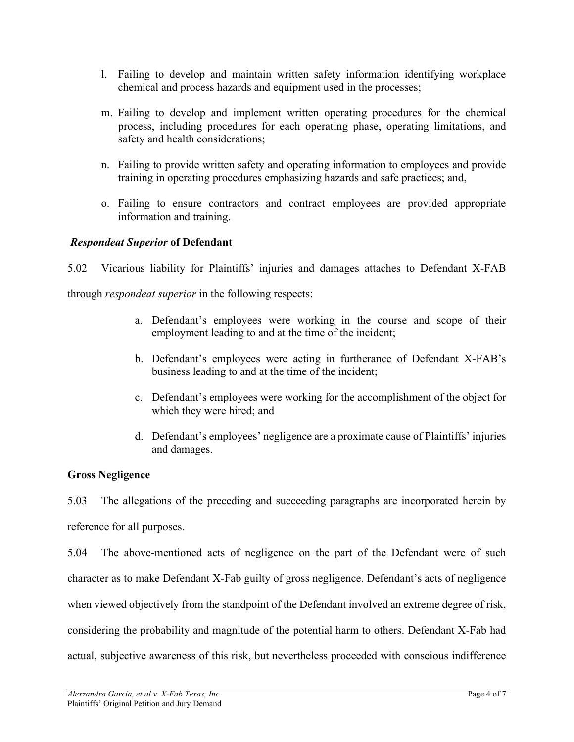- l. Failing to develop and maintain written safety information identifying workplace chemical and process hazards and equipment used in the processes;
- m. Failing to develop and implement written operating procedures for the chemical process, including procedures for each operating phase, operating limitations, and safety and health considerations;
- n. Failing to provide written safety and operating information to employees and provide training in operating procedures emphasizing hazards and safe practices; and,
- o. Failing to ensure contractors and contract employees are provided appropriate information and training.

### *Respondeat Superior* **of Defendant**

5.02 Vicarious liability for Plaintiffs' injuries and damages attaches to Defendant X-FAB through *respondeat superior* in the following respects:

- a. Defendant's employees were working in the course and scope of their employment leading to and at the time of the incident;
- b. Defendant's employees were acting in furtherance of Defendant X-FAB's business leading to and at the time of the incident;
- c. Defendant's employees were working for the accomplishment of the object for which they were hired; and
- d. Defendant's employees' negligence are a proximate cause of Plaintiffs' injuries and damages.

### **Gross Negligence**

5.03 The allegations of the preceding and succeeding paragraphs are incorporated herein by reference for all purposes.

5.04 The above-mentioned acts of negligence on the part of the Defendant were of such character as to make Defendant X-Fab guilty of gross negligence. Defendant's acts of negligence when viewed objectively from the standpoint of the Defendant involved an extreme degree of risk, considering the probability and magnitude of the potential harm to others. Defendant X-Fab had actual, subjective awareness of this risk, but nevertheless proceeded with conscious indifference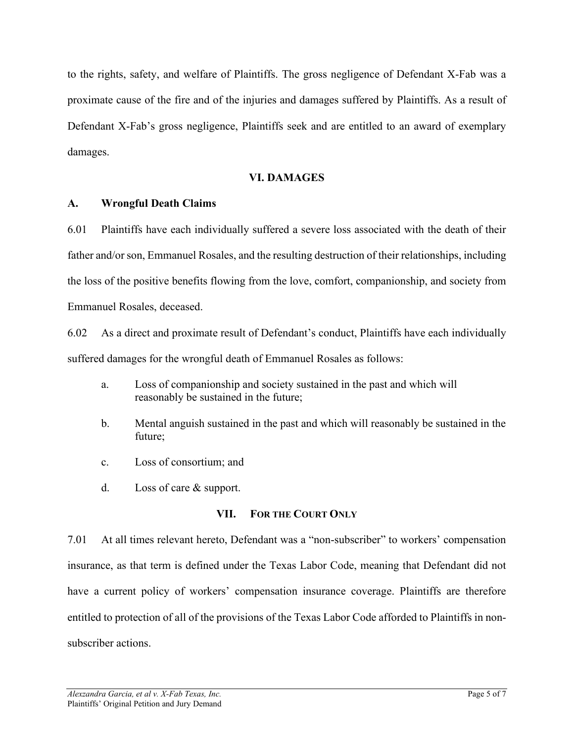to the rights, safety, and welfare of Plaintiffs. The gross negligence of Defendant X-Fab was a proximate cause of the fire and of the injuries and damages suffered by Plaintiffs. As a result of Defendant X-Fab's gross negligence, Plaintiffs seek and are entitled to an award of exemplary damages.

### **VI. DAMAGES**

#### **A. Wrongful Death Claims**

6.01 Plaintiffs have each individually suffered a severe loss associated with the death of their father and/or son, Emmanuel Rosales, and the resulting destruction of their relationships, including the loss of the positive benefits flowing from the love, comfort, companionship, and society from Emmanuel Rosales, deceased.

6.02 As a direct and proximate result of Defendant's conduct, Plaintiffs have each individually suffered damages for the wrongful death of Emmanuel Rosales as follows:

- a. Loss of companionship and society sustained in the past and which will reasonably be sustained in the future;
- b. Mental anguish sustained in the past and which will reasonably be sustained in the future;
- c. Loss of consortium; and
- d. Loss of care & support.

#### **VII. FOR THE COURT ONLY**

7.01 At all times relevant hereto, Defendant was a "non-subscriber" to workers' compensation insurance, as that term is defined under the Texas Labor Code, meaning that Defendant did not have a current policy of workers' compensation insurance coverage. Plaintiffs are therefore entitled to protection of all of the provisions of the Texas Labor Code afforded to Plaintiffs in nonsubscriber actions.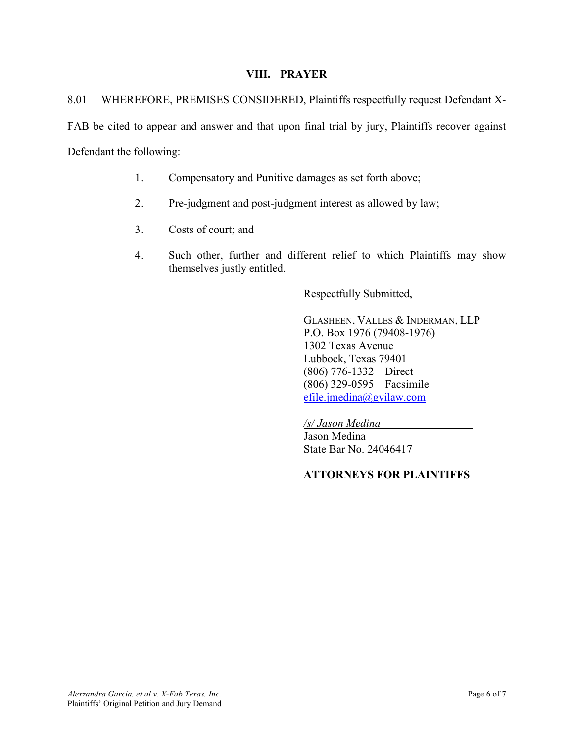### **VIII. PRAYER**

8.01 WHEREFORE, PREMISES CONSIDERED, Plaintiffs respectfully request Defendant X-FAB be cited to appear and answer and that upon final trial by jury, Plaintiffs recover against Defendant the following:

- 1. Compensatory and Punitive damages as set forth above;
- 2. Pre-judgment and post-judgment interest as allowed by law;
- 3. Costs of court; and
- 4. Such other, further and different relief to which Plaintiffs may show themselves justly entitled.

Respectfully Submitted,

GLASHEEN, VALLES & INDERMAN, LLP P.O. Box 1976 (79408-1976) 1302 Texas Avenue Lubbock, Texas 79401 (806) 776-1332 – Direct (806) 329-0595 – Facsimile [efile.jmedina@gvilaw.com](mailto:efile.jmedina@gvilaw.com)

*/s/ Jason Medina* Jason Medina State Bar No. 24046417

### **ATTORNEYS FOR PLAINTIFFS**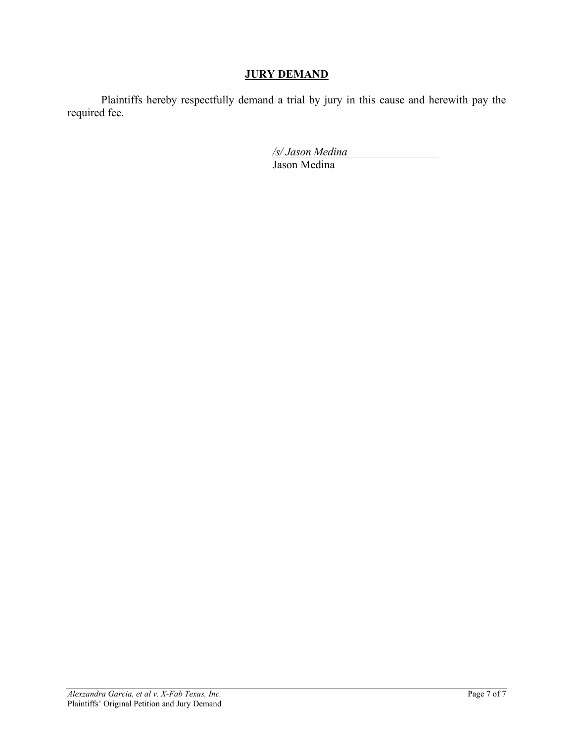# **JURY DEMAND**

Plaintiffs hereby respectfully demand a trial by jury in this cause and herewith pay the required fee.

*/s/ Jason Medina* 

Jason Medina